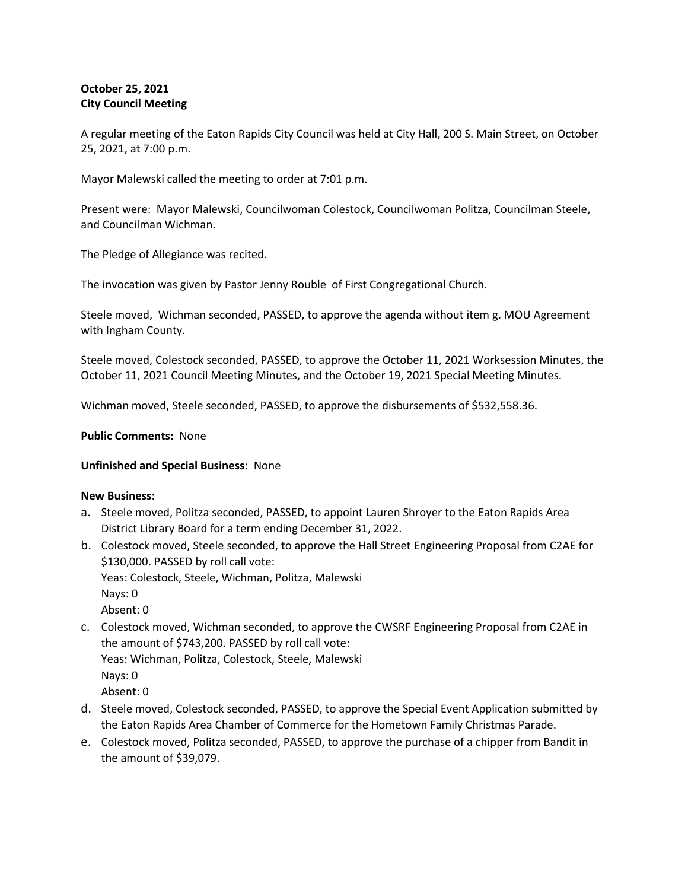# **October 25, 2021 City Council Meeting**

A regular meeting of the Eaton Rapids City Council was held at City Hall, 200 S. Main Street, on October 25, 2021, at 7:00 p.m.

Mayor Malewski called the meeting to order at 7:01 p.m.

Present were: Mayor Malewski, Councilwoman Colestock, Councilwoman Politza, Councilman Steele, and Councilman Wichman.

The Pledge of Allegiance was recited.

The invocation was given by Pastor Jenny Rouble of First Congregational Church.

Steele moved, Wichman seconded, PASSED, to approve the agenda without item g. MOU Agreement with Ingham County.

Steele moved, Colestock seconded, PASSED, to approve the October 11, 2021 Worksession Minutes, the October 11, 2021 Council Meeting Minutes, and the October 19, 2021 Special Meeting Minutes.

Wichman moved, Steele seconded, PASSED, to approve the disbursements of \$532,558.36.

### **Public Comments:** None

## **Unfinished and Special Business:** None

#### **New Business:**

- a. Steele moved, Politza seconded, PASSED, to appoint Lauren Shroyer to the Eaton Rapids Area District Library Board for a term ending December 31, 2022.
- b. Colestock moved, Steele seconded, to approve the Hall Street Engineering Proposal from C2AE for \$130,000. PASSED by roll call vote:

Yeas: Colestock, Steele, Wichman, Politza, Malewski

Nays: 0

Absent: 0

c. Colestock moved, Wichman seconded, to approve the CWSRF Engineering Proposal from C2AE in the amount of \$743,200. PASSED by roll call vote: Yeas: Wichman, Politza, Colestock, Steele, Malewski Nays: 0

Absent: 0

- d. Steele moved, Colestock seconded, PASSED, to approve the Special Event Application submitted by the Eaton Rapids Area Chamber of Commerce for the Hometown Family Christmas Parade.
- e. Colestock moved, Politza seconded, PASSED, to approve the purchase of a chipper from Bandit in the amount of \$39,079.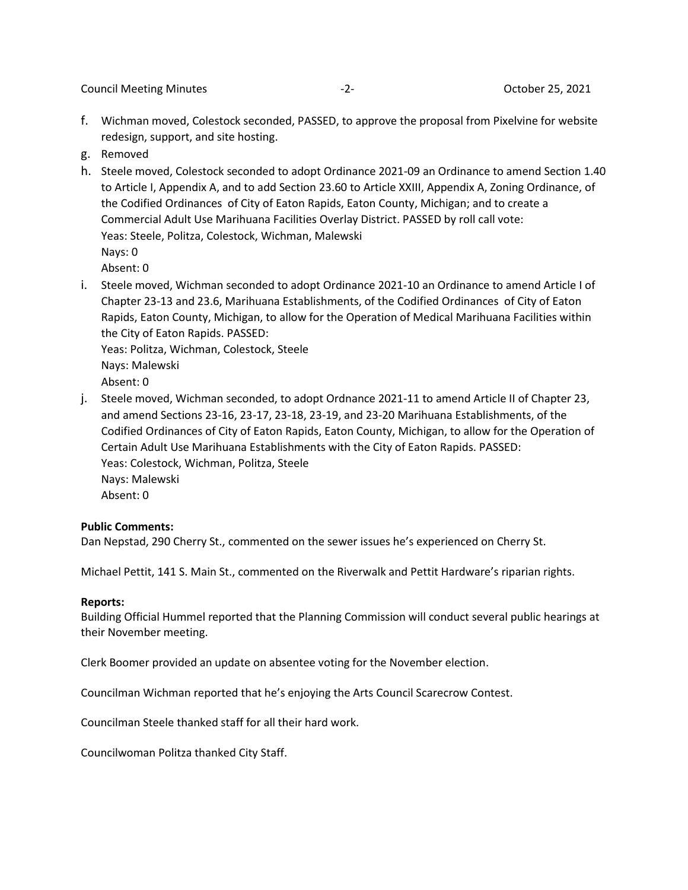Council Meeting Minutes -2- October 25, 2021

- f. Wichman moved, Colestock seconded, PASSED, to approve the proposal from Pixelvine for website redesign, support, and site hosting.
- g. Removed
- h. Steele moved, Colestock seconded to adopt Ordinance 2021-09 an Ordinance to amend Section 1.40 to Article I, Appendix A, and to add Section 23.60 to Article XXIII, Appendix A, Zoning Ordinance, of the Codified Ordinances of City of Eaton Rapids, Eaton County, Michigan; and to create a Commercial Adult Use Marihuana Facilities Overlay District. PASSED by roll call vote: Yeas: Steele, Politza, Colestock, Wichman, Malewski Nays: 0

Absent: 0

i. Steele moved, Wichman seconded to adopt Ordinance 2021-10 an Ordinance to amend Article I of Chapter 23-13 and 23.6, Marihuana Establishments, of the Codified Ordinances of City of Eaton Rapids, Eaton County, Michigan, to allow for the Operation of Medical Marihuana Facilities within the City of Eaton Rapids. PASSED:

Yeas: Politza, Wichman, Colestock, Steele Nays: Malewski Absent: 0

j. Steele moved, Wichman seconded, to adopt Ordnance 2021-11 to amend Article II of Chapter 23, and amend Sections 23-16, 23-17, 23-18, 23-19, and 23-20 Marihuana Establishments, of the Codified Ordinances of City of Eaton Rapids, Eaton County, Michigan, to allow for the Operation of Certain Adult Use Marihuana Establishments with the City of Eaton Rapids. PASSED: Yeas: Colestock, Wichman, Politza, Steele Nays: Malewski Absent: 0

## **Public Comments:**

Dan Nepstad, 290 Cherry St., commented on the sewer issues he's experienced on Cherry St.

Michael Pettit, 141 S. Main St., commented on the Riverwalk and Pettit Hardware's riparian rights.

#### **Reports:**

Building Official Hummel reported that the Planning Commission will conduct several public hearings at their November meeting.

Clerk Boomer provided an update on absentee voting for the November election.

Councilman Wichman reported that he's enjoying the Arts Council Scarecrow Contest.

Councilman Steele thanked staff for all their hard work.

Councilwoman Politza thanked City Staff.